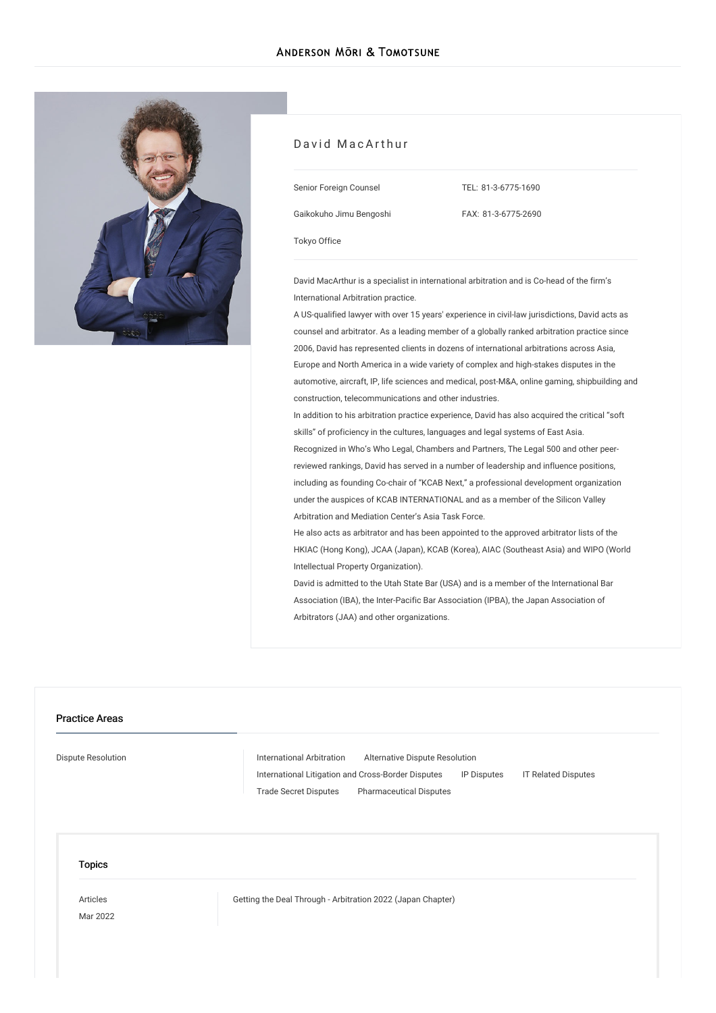

#### David MacArthur

Senior Foreign Counsel

Gaikokuho Jimu Bengoshi

TEL: [81-3-6775-1690](tel:81-3-6775-1690)

FAX: 81-3-6775-2690

[Tokyo](/en/locations/tokyo) Office

David MacArthur is a specialist in international arbitration and is Co-head of the firm's International Arbitration practice.

A US-qualified lawyer with over 15 years' experience in civil-law jurisdictions, David acts as counsel and arbitrator. As a leading member of a globally ranked arbitration practice since 2006, David has represented clients in dozens of international arbitrations across Asia, Europe and North America in a wide variety of complex and high-stakes disputes in the automotive, aircraft, IP, life sciences and medical, post-M&A, online gaming, shipbuilding and construction, telecommunications and other industries.

In addition to his arbitration practice experience, David has also acquired the critical "soft skills" of proficiency in the cultures, languages and legal systems of East Asia.

Recognized in Who's Who Legal, Chambers and Partners, The Legal 500 and other peerreviewed rankings, David has served in a number of leadership and influence positions, including as founding Co-chair of "KCAB Next," a professional development organization under the auspices of KCAB INTERNATIONAL and as a member of the Silicon Valley Arbitration and Mediation Center's Asia Task Force.

He also acts as arbitrator and has been appointed to the approved arbitrator lists of the HKIAC (Hong Kong), JCAA (Japan), KCAB (Korea), AIAC (Southeast Asia) and WIPO (World Intellectual Property Organization).

David is admitted to the Utah State Bar (USA) and is a member of the International Bar Association (IBA), the Inter-Pacific Bar Association (IPBA), the Japan Association of Arbitrators (JAA) and other organizations.

## Practice Areas

Dispute [Resolution](/en/services/practices/dispute-resolution) **[International](/en/services/practices/dispute-resolution/international-arbitration) Arbitration** [Alternative](/en/services/practices/dispute-resolution/alternative-dispute-resolution) Dispute Resolution International Litigation and [Cross-Border](/en/services/practices/dispute-resolution/international-litigation-and-cross-border-disputes) Disputes IP [Disputes](/en/services/practices/dispute-resolution/ip-disputes) IT Related [Disputes](/en/services/practices/dispute-resolution/it-related-disputes) Trade Secret [Disputes](/en/services/practices/dispute-resolution/trade-secret-disputes) [Pharmaceutical](/en/services/practices/dispute-resolution/pharmaceutical-disputes) Disputes

**Topics** 

[Articles](/en/publications/articles/) Mar 2022 Getting the Deal Through - [Arbitration](/en/publications/detail/publication_0024452_en_001) 2022 (Japan Chapter)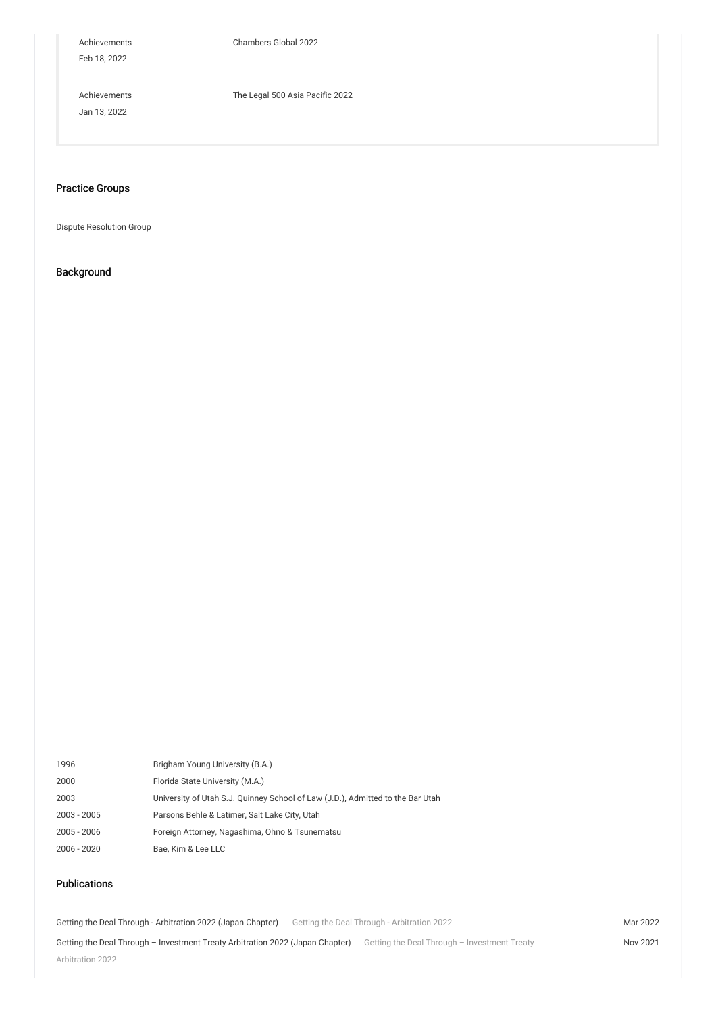[Achievements](/en/news/achievements/) Feb 18, 2022

[Chambers](/en/news/detail/news_0024399_en_001) Global 2022

[Achievements](/en/news/achievements/) Jan 13, 2022

The Legal 500 Asia [Pacific](/en/news/detail/news_0024281_en_001) 2022

#### Practice Groups

Dispute Resolution Group

# Background

| 1996          | Brigham Young University (B.A.)                                                |
|---------------|--------------------------------------------------------------------------------|
| 2000          | Florida State University (M.A.)                                                |
| 2003          | University of Utah S.J. Quinney School of Law (J.D.), Admitted to the Bar Utah |
| 2003 - 2005   | Parsons Behle & Latimer, Salt Lake City, Utah                                  |
| $2005 - 2006$ | Foreign Attorney, Nagashima, Ohno & Tsunematsu                                 |
| 2006 - 2020   | Bae. Kim & Lee LLC                                                             |

## Publications

Getting the Deal Through - [Arbitration](/en/publications/detail/publication_0024452_en_001) 2022 (Japan Chapter) Getting the Deal Through - Arbitration 2022 Mar 2022

Getting the Deal Through - [Investment](/en/publications/detail/publication_0023898_en_001) Treaty Arbitration 2022 (Japan Chapter) Getting the Deal Through - Investment Treaty

Nov 2021